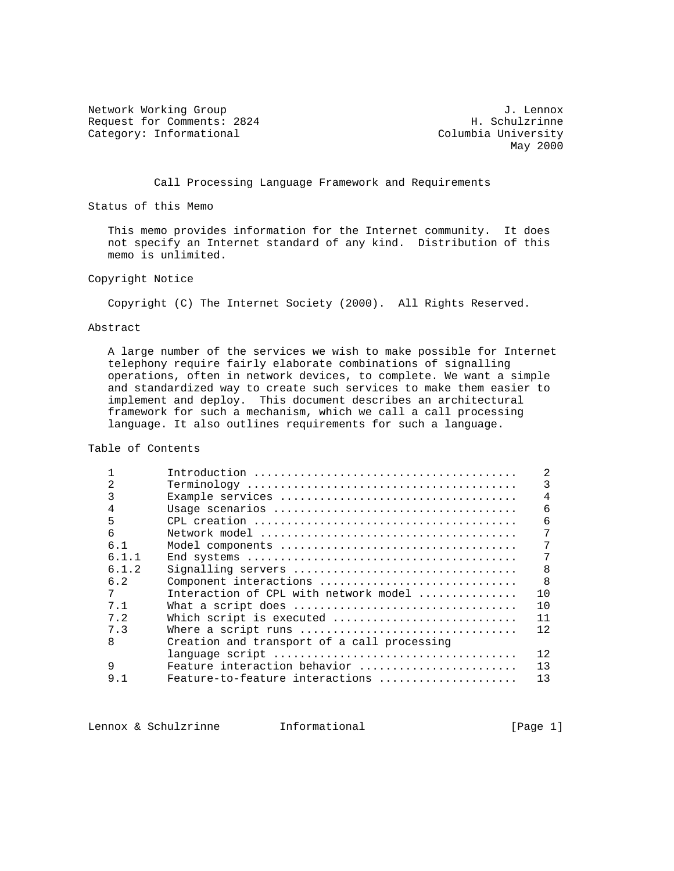Network Working Group J. Lennox Request for Comments: 2824 H. Schulzrinne Category: Informational Columbia University

May 2000

Call Processing Language Framework and Requirements

Status of this Memo

 This memo provides information for the Internet community. It does not specify an Internet standard of any kind. Distribution of this memo is unlimited.

Copyright Notice

Copyright (C) The Internet Society (2000). All Rights Reserved.

Abstract

 A large number of the services we wish to make possible for Internet telephony require fairly elaborate combinations of signalling operations, often in network devices, to complete. We want a simple and standardized way to create such services to make them easier to implement and deploy. This document describes an architectural framework for such a mechanism, which we call a call processing language. It also outlines requirements for such a language.

Table of Contents

|                                                                                                       | 6            |
|-------------------------------------------------------------------------------------------------------|--------------|
|                                                                                                       | 6            |
| $Network \ model \dots \dots \dots \dots \dots \dots \dots \dots \dots \dots \dots \dots \dots \dots$ |              |
| Model components $\ldots \ldots \ldots \ldots \ldots \ldots \ldots \ldots \ldots \ldots \ldots$       | 7            |
|                                                                                                       | 7            |
|                                                                                                       | 8            |
| Component interactions                                                                                | $\mathsf{B}$ |
| Interaction of CPL with network model                                                                 | 1 O          |
| What a script does                                                                                    | 10           |
| Which script is executed                                                                              | 11           |
|                                                                                                       | 12.          |
| Creation and transport of a call processing                                                           |              |
|                                                                                                       | 12.          |
| Feature interaction behavior                                                                          | 13           |
| Feature-to-feature interactions                                                                       | 13           |
|                                                                                                       |              |

Lennox & Schulzrinne 1nformational 1. [Page 1]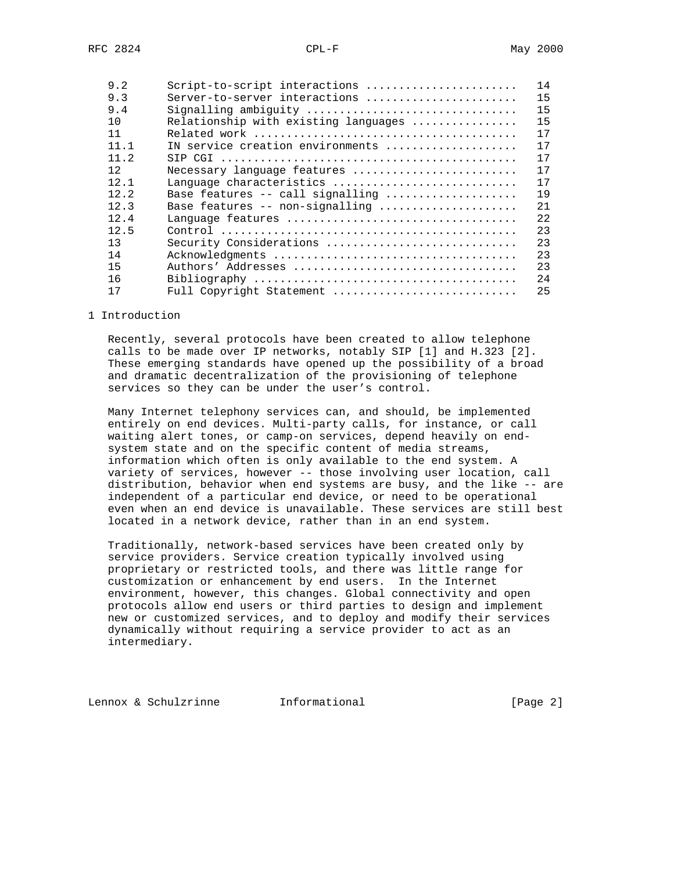| 9.2            | Script-to-script interactions        | 14   |
|----------------|--------------------------------------|------|
| 9.3            | Server-to-server interactions        | 15   |
| 9.4            | Signalling ambiguity                 | 15   |
| 1 <sub>0</sub> | Relationship with existing languages | 15   |
| 11             |                                      | 17   |
| 11.1           | IN service creation environments     | 17   |
| 11.2           |                                      | 17   |
| 12.            | Necessary language features          | 17   |
| 12.1           | Language characteristics             | 17   |
| 12.2           | Base features -- call signalling     | 19   |
| 12.3           | Base features -- non-signalling      | 21   |
| 12.4           |                                      | 2.2. |
| 12.5           |                                      | 23   |
| 13             | Security Considerations              | 23   |
| 14             |                                      | 23   |
| 15             |                                      | 23   |
| 16             |                                      | 24   |
| 17             | Full Copyright Statement             | 25   |
|                |                                      |      |

1 Introduction

 Recently, several protocols have been created to allow telephone calls to be made over IP networks, notably SIP [1] and H.323 [2]. These emerging standards have opened up the possibility of a broad and dramatic decentralization of the provisioning of telephone services so they can be under the user's control.

 Many Internet telephony services can, and should, be implemented entirely on end devices. Multi-party calls, for instance, or call waiting alert tones, or camp-on services, depend heavily on end system state and on the specific content of media streams, information which often is only available to the end system. A variety of services, however -- those involving user location, call distribution, behavior when end systems are busy, and the like -- are independent of a particular end device, or need to be operational even when an end device is unavailable. These services are still best located in a network device, rather than in an end system.

 Traditionally, network-based services have been created only by service providers. Service creation typically involved using proprietary or restricted tools, and there was little range for customization or enhancement by end users. In the Internet environment, however, this changes. Global connectivity and open protocols allow end users or third parties to design and implement new or customized services, and to deploy and modify their services dynamically without requiring a service provider to act as an intermediary.

Lennox & Schulzrinne and Informational [Page 2]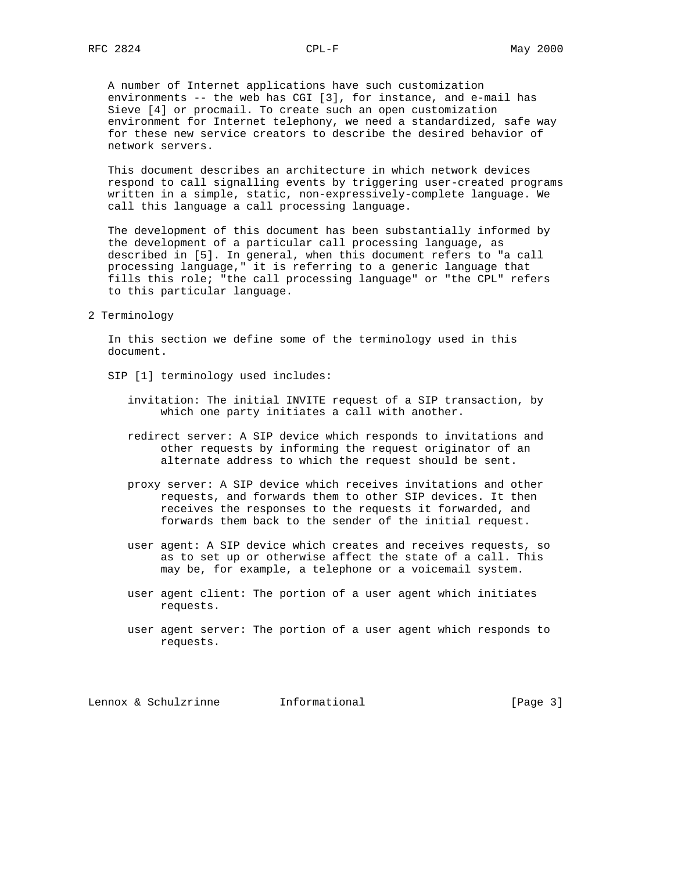A number of Internet applications have such customization environments -- the web has CGI [3], for instance, and e-mail has Sieve [4] or procmail. To create such an open customization environment for Internet telephony, we need a standardized, safe way for these new service creators to describe the desired behavior of network servers.

 This document describes an architecture in which network devices respond to call signalling events by triggering user-created programs written in a simple, static, non-expressively-complete language. We call this language a call processing language.

 The development of this document has been substantially informed by the development of a particular call processing language, as described in [5]. In general, when this document refers to "a call processing language," it is referring to a generic language that fills this role; "the call processing language" or "the CPL" refers to this particular language.

2 Terminology

 In this section we define some of the terminology used in this document.

- SIP [1] terminology used includes:
	- invitation: The initial INVITE request of a SIP transaction, by which one party initiates a call with another.
	- redirect server: A SIP device which responds to invitations and other requests by informing the request originator of an alternate address to which the request should be sent.
	- proxy server: A SIP device which receives invitations and other requests, and forwards them to other SIP devices. It then receives the responses to the requests it forwarded, and forwards them back to the sender of the initial request.
	- user agent: A SIP device which creates and receives requests, so as to set up or otherwise affect the state of a call. This may be, for example, a telephone or a voicemail system.
	- user agent client: The portion of a user agent which initiates requests.
	- user agent server: The portion of a user agent which responds to requests.

Lennox & Schulzrinne and Informational [Page 3]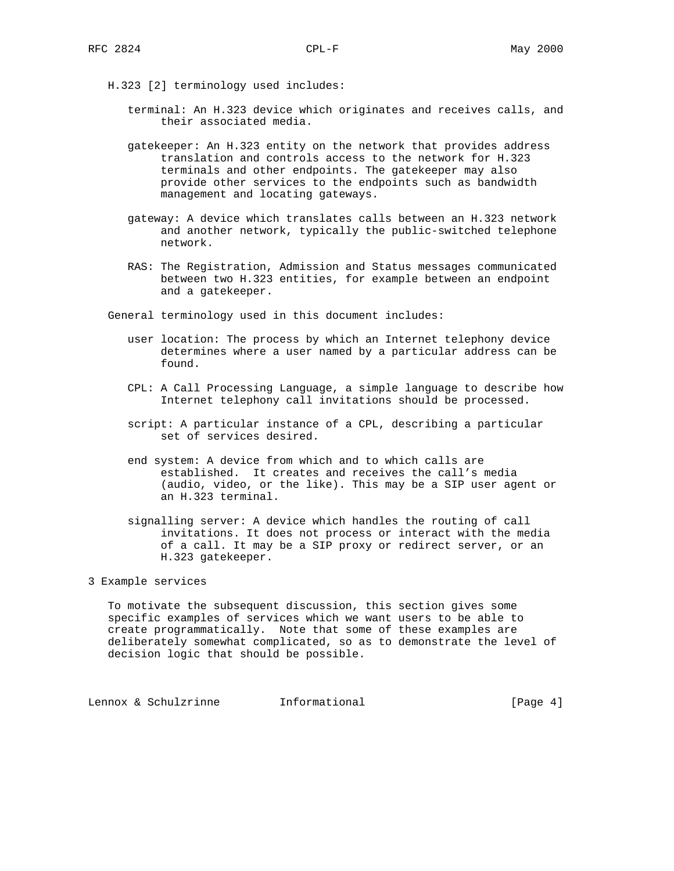- H.323 [2] terminology used includes:
	- terminal: An H.323 device which originates and receives calls, and their associated media.
	- gatekeeper: An H.323 entity on the network that provides address translation and controls access to the network for H.323 terminals and other endpoints. The gatekeeper may also provide other services to the endpoints such as bandwidth management and locating gateways.
	- gateway: A device which translates calls between an H.323 network and another network, typically the public-switched telephone network.
	- RAS: The Registration, Admission and Status messages communicated between two H.323 entities, for example between an endpoint and a gatekeeper.

General terminology used in this document includes:

- user location: The process by which an Internet telephony device determines where a user named by a particular address can be found.
- CPL: A Call Processing Language, a simple language to describe how Internet telephony call invitations should be processed.
- script: A particular instance of a CPL, describing a particular set of services desired.
- end system: A device from which and to which calls are established. It creates and receives the call's media (audio, video, or the like). This may be a SIP user agent or an H.323 terminal.
- signalling server: A device which handles the routing of call invitations. It does not process or interact with the media of a call. It may be a SIP proxy or redirect server, or an H.323 gatekeeper.

#### 3 Example services

 To motivate the subsequent discussion, this section gives some specific examples of services which we want users to be able to create programmatically. Note that some of these examples are deliberately somewhat complicated, so as to demonstrate the level of decision logic that should be possible.

Lennox & Schulzrinne and Informational and the set of Page 4]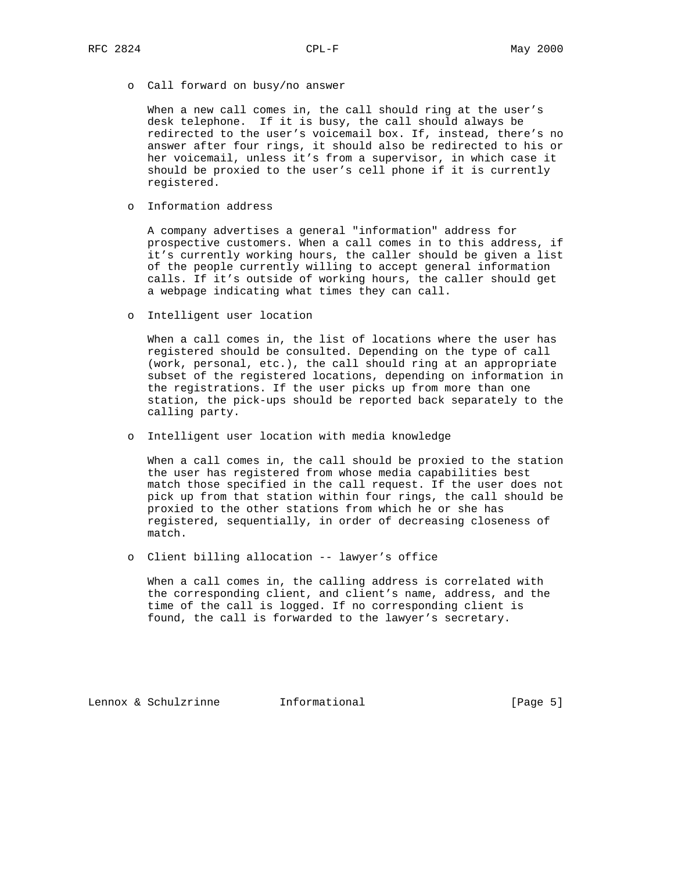o Call forward on busy/no answer

 When a new call comes in, the call should ring at the user's desk telephone. If it is busy, the call should always be redirected to the user's voicemail box. If, instead, there's no answer after four rings, it should also be redirected to his or her voicemail, unless it's from a supervisor, in which case it should be proxied to the user's cell phone if it is currently registered.

o Information address

 A company advertises a general "information" address for prospective customers. When a call comes in to this address, if it's currently working hours, the caller should be given a list of the people currently willing to accept general information calls. If it's outside of working hours, the caller should get a webpage indicating what times they can call.

o Intelligent user location

 When a call comes in, the list of locations where the user has registered should be consulted. Depending on the type of call (work, personal, etc.), the call should ring at an appropriate subset of the registered locations, depending on information in the registrations. If the user picks up from more than one station, the pick-ups should be reported back separately to the calling party.

o Intelligent user location with media knowledge

 When a call comes in, the call should be proxied to the station the user has registered from whose media capabilities best match those specified in the call request. If the user does not pick up from that station within four rings, the call should be proxied to the other stations from which he or she has registered, sequentially, in order of decreasing closeness of match.

o Client billing allocation -- lawyer's office

 When a call comes in, the calling address is correlated with the corresponding client, and client's name, address, and the time of the call is logged. If no corresponding client is found, the call is forwarded to the lawyer's secretary.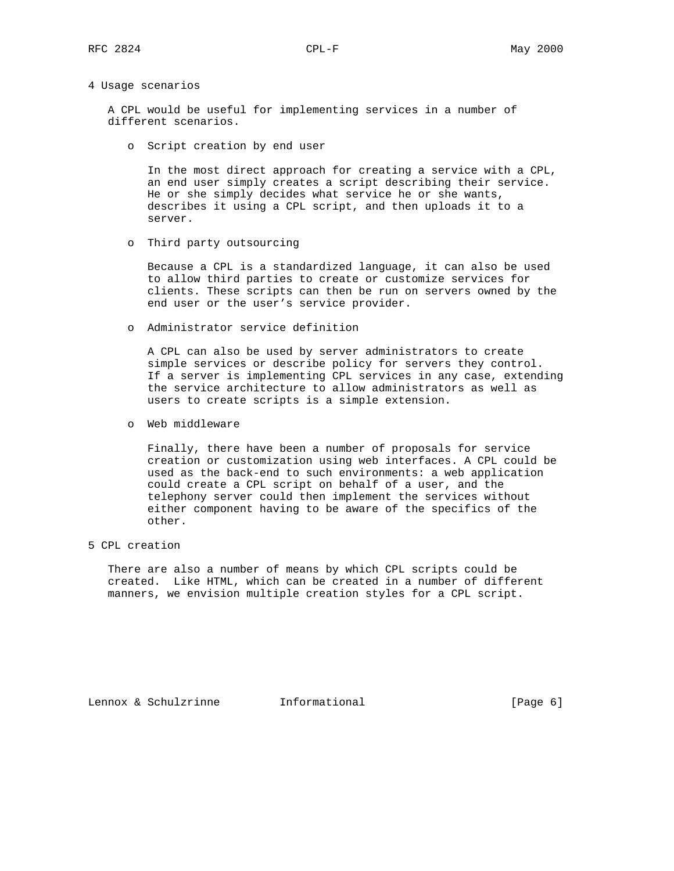#### 4 Usage scenarios

 A CPL would be useful for implementing services in a number of different scenarios.

o Script creation by end user

 In the most direct approach for creating a service with a CPL, an end user simply creates a script describing their service. He or she simply decides what service he or she wants, describes it using a CPL script, and then uploads it to a server.

o Third party outsourcing

 Because a CPL is a standardized language, it can also be used to allow third parties to create or customize services for clients. These scripts can then be run on servers owned by the end user or the user's service provider.

o Administrator service definition

 A CPL can also be used by server administrators to create simple services or describe policy for servers they control. If a server is implementing CPL services in any case, extending the service architecture to allow administrators as well as users to create scripts is a simple extension.

o Web middleware

 Finally, there have been a number of proposals for service creation or customization using web interfaces. A CPL could be used as the back-end to such environments: a web application could create a CPL script on behalf of a user, and the telephony server could then implement the services without either component having to be aware of the specifics of the other.

5 CPL creation

 There are also a number of means by which CPL scripts could be created. Like HTML, which can be created in a number of different manners, we envision multiple creation styles for a CPL script.

Lennox & Schulzrinne and Informational (Page 6)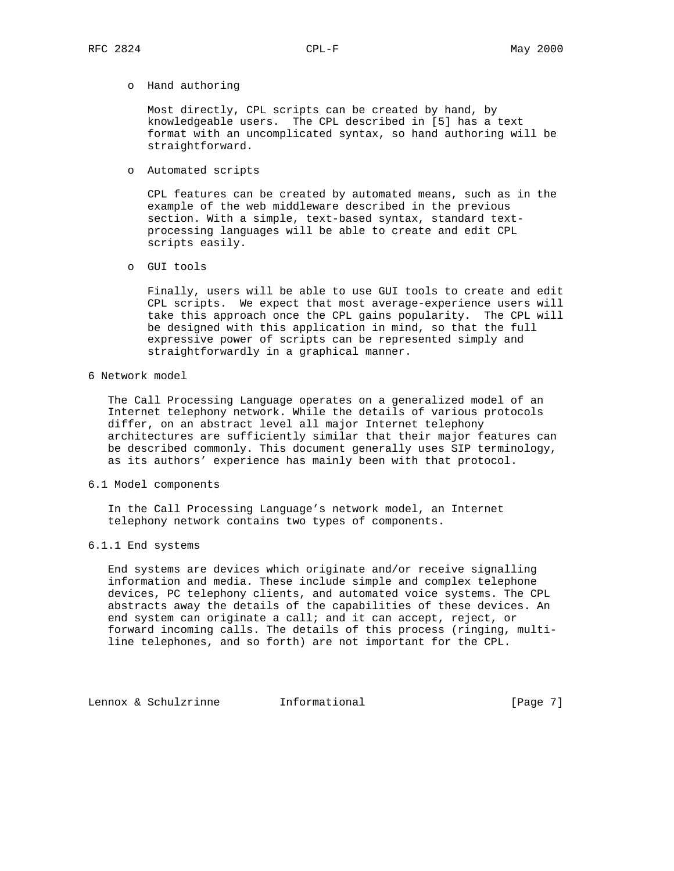o Hand authoring

 Most directly, CPL scripts can be created by hand, by knowledgeable users. The CPL described in [5] has a text format with an uncomplicated syntax, so hand authoring will be straightforward.

o Automated scripts

 CPL features can be created by automated means, such as in the example of the web middleware described in the previous section. With a simple, text-based syntax, standard text processing languages will be able to create and edit CPL scripts easily.

o GUI tools

 Finally, users will be able to use GUI tools to create and edit CPL scripts. We expect that most average-experience users will take this approach once the CPL gains popularity. The CPL will be designed with this application in mind, so that the full expressive power of scripts can be represented simply and straightforwardly in a graphical manner.

6 Network model

 The Call Processing Language operates on a generalized model of an Internet telephony network. While the details of various protocols differ, on an abstract level all major Internet telephony architectures are sufficiently similar that their major features can be described commonly. This document generally uses SIP terminology, as its authors' experience has mainly been with that protocol.

6.1 Model components

 In the Call Processing Language's network model, an Internet telephony network contains two types of components.

6.1.1 End systems

 End systems are devices which originate and/or receive signalling information and media. These include simple and complex telephone devices, PC telephony clients, and automated voice systems. The CPL abstracts away the details of the capabilities of these devices. An end system can originate a call; and it can accept, reject, or forward incoming calls. The details of this process (ringing, multi line telephones, and so forth) are not important for the CPL.

Lennox & Schulzrinne and Informational [Page 7]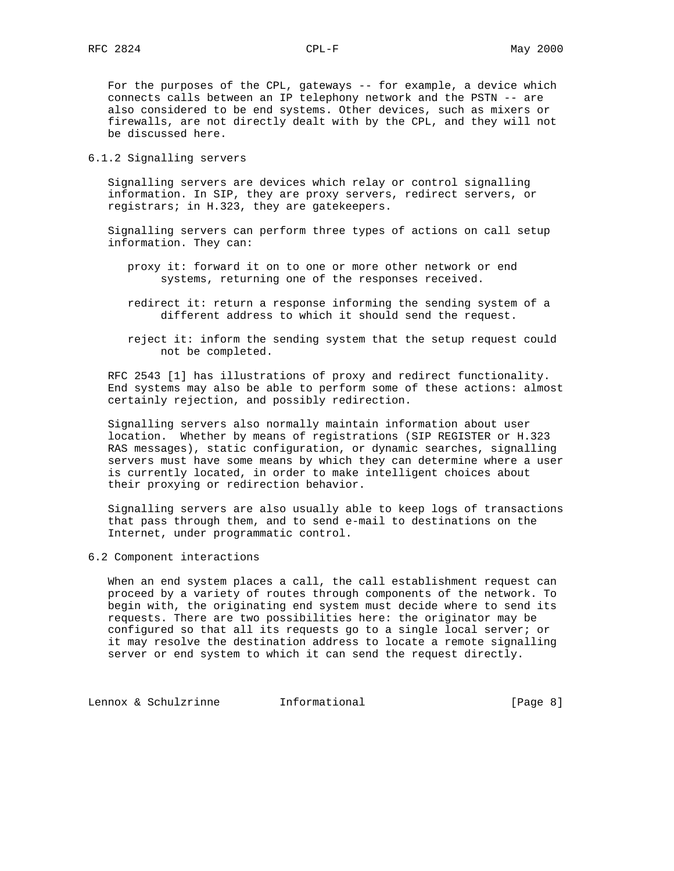For the purposes of the CPL, gateways -- for example, a device which connects calls between an IP telephony network and the PSTN -- are also considered to be end systems. Other devices, such as mixers or firewalls, are not directly dealt with by the CPL, and they will not be discussed here.

6.1.2 Signalling servers

 Signalling servers are devices which relay or control signalling information. In SIP, they are proxy servers, redirect servers, or registrars; in H.323, they are gatekeepers.

 Signalling servers can perform three types of actions on call setup information. They can:

- proxy it: forward it on to one or more other network or end systems, returning one of the responses received.
- redirect it: return a response informing the sending system of a different address to which it should send the request.
- reject it: inform the sending system that the setup request could not be completed.

 RFC 2543 [1] has illustrations of proxy and redirect functionality. End systems may also be able to perform some of these actions: almost certainly rejection, and possibly redirection.

 Signalling servers also normally maintain information about user location. Whether by means of registrations (SIP REGISTER or H.323 RAS messages), static configuration, or dynamic searches, signalling servers must have some means by which they can determine where a user is currently located, in order to make intelligent choices about their proxying or redirection behavior.

 Signalling servers are also usually able to keep logs of transactions that pass through them, and to send e-mail to destinations on the Internet, under programmatic control.

6.2 Component interactions

 When an end system places a call, the call establishment request can proceed by a variety of routes through components of the network. To begin with, the originating end system must decide where to send its requests. There are two possibilities here: the originator may be configured so that all its requests go to a single local server; or it may resolve the destination address to locate a remote signalling server or end system to which it can send the request directly.

Lennox & Schulzrinne and Informational and the series of  $[Page 8]$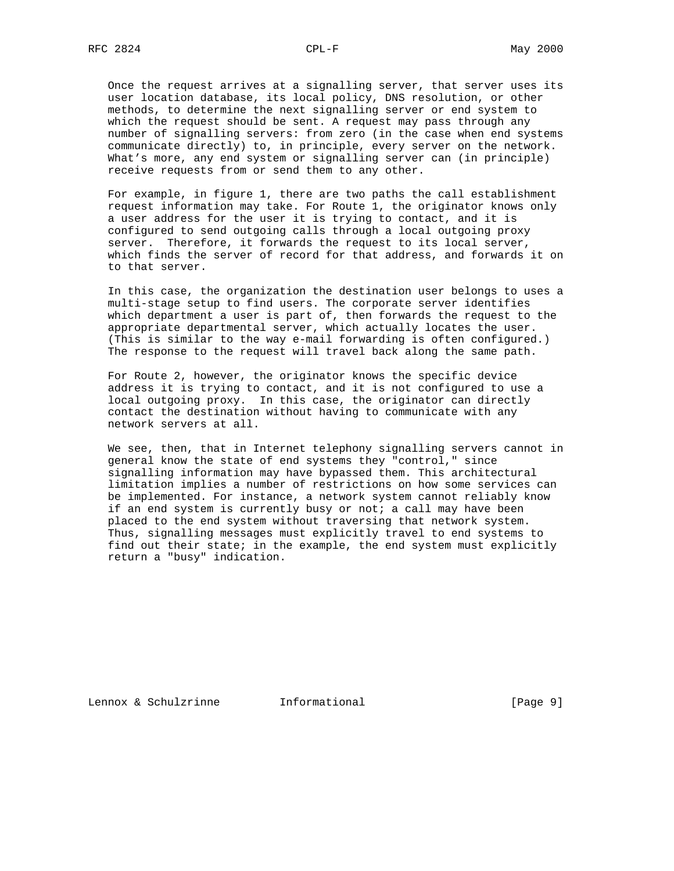Once the request arrives at a signalling server, that server uses its user location database, its local policy, DNS resolution, or other methods, to determine the next signalling server or end system to which the request should be sent. A request may pass through any number of signalling servers: from zero (in the case when end systems communicate directly) to, in principle, every server on the network. What's more, any end system or signalling server can (in principle) receive requests from or send them to any other.

 For example, in figure 1, there are two paths the call establishment request information may take. For Route 1, the originator knows only a user address for the user it is trying to contact, and it is configured to send outgoing calls through a local outgoing proxy server. Therefore, it forwards the request to its local server, which finds the server of record for that address, and forwards it on to that server.

 In this case, the organization the destination user belongs to uses a multi-stage setup to find users. The corporate server identifies which department a user is part of, then forwards the request to the appropriate departmental server, which actually locates the user. (This is similar to the way e-mail forwarding is often configured.) The response to the request will travel back along the same path.

 For Route 2, however, the originator knows the specific device address it is trying to contact, and it is not configured to use a local outgoing proxy. In this case, the originator can directly contact the destination without having to communicate with any network servers at all.

 We see, then, that in Internet telephony signalling servers cannot in general know the state of end systems they "control," since signalling information may have bypassed them. This architectural limitation implies a number of restrictions on how some services can be implemented. For instance, a network system cannot reliably know if an end system is currently busy or not; a call may have been placed to the end system without traversing that network system. Thus, signalling messages must explicitly travel to end systems to find out their state; in the example, the end system must explicitly return a "busy" indication.

Lennox & Schulzrinne 1nformational [Page 9]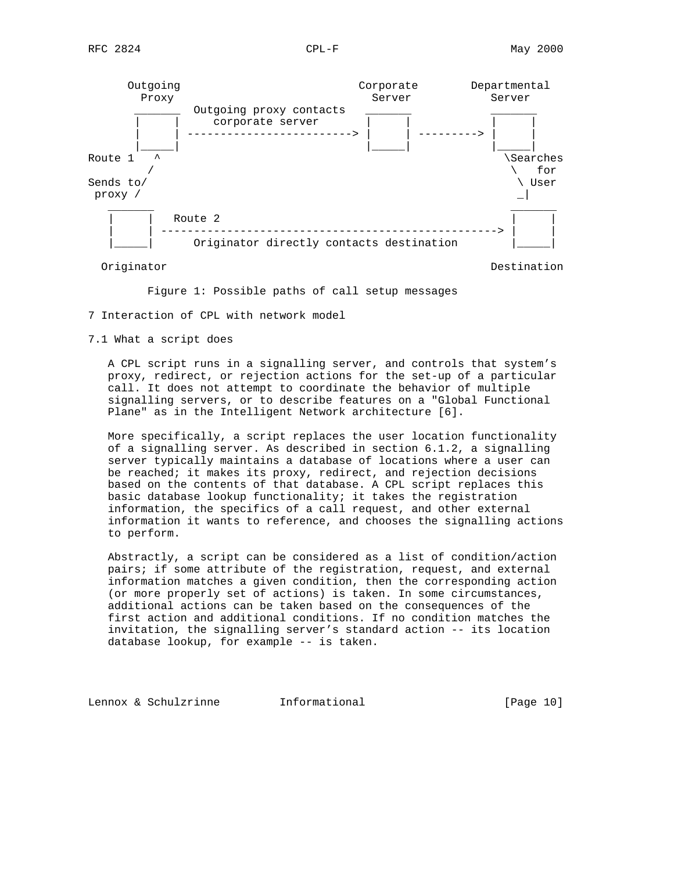

Originator Destination

Figure 1: Possible paths of call setup messages

- 7 Interaction of CPL with network model
- 7.1 What a script does

 A CPL script runs in a signalling server, and controls that system's proxy, redirect, or rejection actions for the set-up of a particular call. It does not attempt to coordinate the behavior of multiple signalling servers, or to describe features on a "Global Functional Plane" as in the Intelligent Network architecture [6].

 More specifically, a script replaces the user location functionality of a signalling server. As described in section 6.1.2, a signalling server typically maintains a database of locations where a user can be reached; it makes its proxy, redirect, and rejection decisions based on the contents of that database. A CPL script replaces this basic database lookup functionality; it takes the registration information, the specifics of a call request, and other external information it wants to reference, and chooses the signalling actions to perform.

 Abstractly, a script can be considered as a list of condition/action pairs; if some attribute of the registration, request, and external information matches a given condition, then the corresponding action (or more properly set of actions) is taken. In some circumstances, additional actions can be taken based on the consequences of the first action and additional conditions. If no condition matches the invitation, the signalling server's standard action -- its location database lookup, for example -- is taken.

Lennox & Schulzrinne 1nformational [Page 10]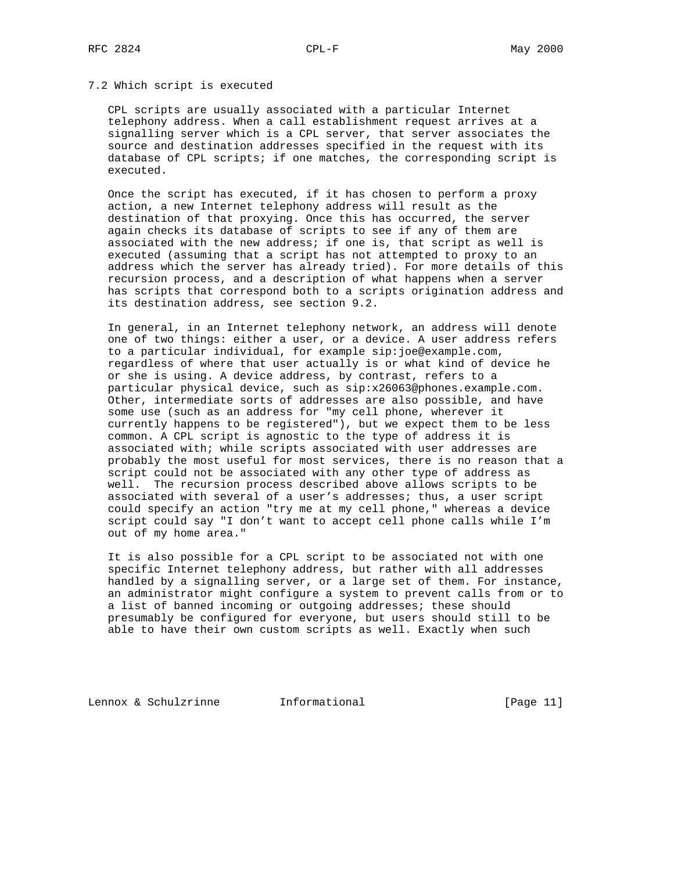## 7.2 Which script is executed

 CPL scripts are usually associated with a particular Internet telephony address. When a call establishment request arrives at a signalling server which is a CPL server, that server associates the source and destination addresses specified in the request with its database of CPL scripts; if one matches, the corresponding script is executed.

 Once the script has executed, if it has chosen to perform a proxy action, a new Internet telephony address will result as the destination of that proxying. Once this has occurred, the server again checks its database of scripts to see if any of them are associated with the new address; if one is, that script as well is executed (assuming that a script has not attempted to proxy to an address which the server has already tried). For more details of this recursion process, and a description of what happens when a server has scripts that correspond both to a scripts origination address and its destination address, see section 9.2.

 In general, in an Internet telephony network, an address will denote one of two things: either a user, or a device. A user address refers to a particular individual, for example sip:joe@example.com, regardless of where that user actually is or what kind of device he or she is using. A device address, by contrast, refers to a particular physical device, such as sip:x26063@phones.example.com. Other, intermediate sorts of addresses are also possible, and have some use (such as an address for "my cell phone, wherever it currently happens to be registered"), but we expect them to be less common. A CPL script is agnostic to the type of address it is associated with; while scripts associated with user addresses are probably the most useful for most services, there is no reason that a script could not be associated with any other type of address as well. The recursion process described above allows scripts to be associated with several of a user's addresses; thus, a user script could specify an action "try me at my cell phone," whereas a device script could say "I don't want to accept cell phone calls while I'm out of my home area."

 It is also possible for a CPL script to be associated not with one specific Internet telephony address, but rather with all addresses handled by a signalling server, or a large set of them. For instance, an administrator might configure a system to prevent calls from or to a list of banned incoming or outgoing addresses; these should presumably be configured for everyone, but users should still to be able to have their own custom scripts as well. Exactly when such

Lennox & Schulzrinne 1nformational [Page 11]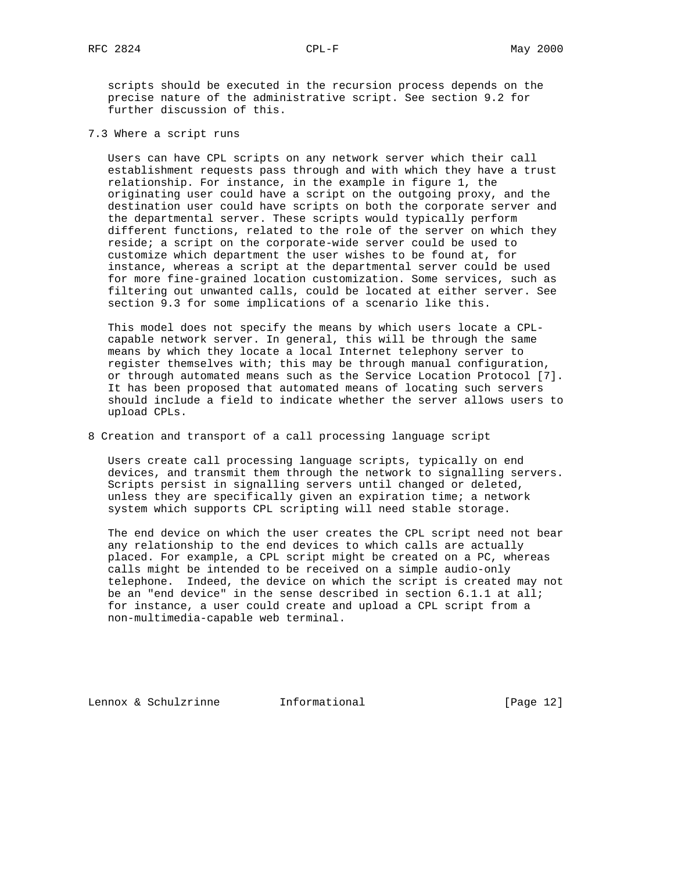scripts should be executed in the recursion process depends on the precise nature of the administrative script. See section 9.2 for further discussion of this.

7.3 Where a script runs

 Users can have CPL scripts on any network server which their call establishment requests pass through and with which they have a trust relationship. For instance, in the example in figure 1, the originating user could have a script on the outgoing proxy, and the destination user could have scripts on both the corporate server and the departmental server. These scripts would typically perform different functions, related to the role of the server on which they reside; a script on the corporate-wide server could be used to customize which department the user wishes to be found at, for instance, whereas a script at the departmental server could be used for more fine-grained location customization. Some services, such as filtering out unwanted calls, could be located at either server. See section 9.3 for some implications of a scenario like this.

 This model does not specify the means by which users locate a CPL capable network server. In general, this will be through the same means by which they locate a local Internet telephony server to register themselves with; this may be through manual configuration, or through automated means such as the Service Location Protocol [7]. It has been proposed that automated means of locating such servers should include a field to indicate whether the server allows users to upload CPLs.

8 Creation and transport of a call processing language script

 Users create call processing language scripts, typically on end devices, and transmit them through the network to signalling servers. Scripts persist in signalling servers until changed or deleted, unless they are specifically given an expiration time; a network system which supports CPL scripting will need stable storage.

 The end device on which the user creates the CPL script need not bear any relationship to the end devices to which calls are actually placed. For example, a CPL script might be created on a PC, whereas calls might be intended to be received on a simple audio-only telephone. Indeed, the device on which the script is created may not be an "end device" in the sense described in section 6.1.1 at all; for instance, a user could create and upload a CPL script from a non-multimedia-capable web terminal.

Lennox & Schulzrinne 1nformational [Page 12]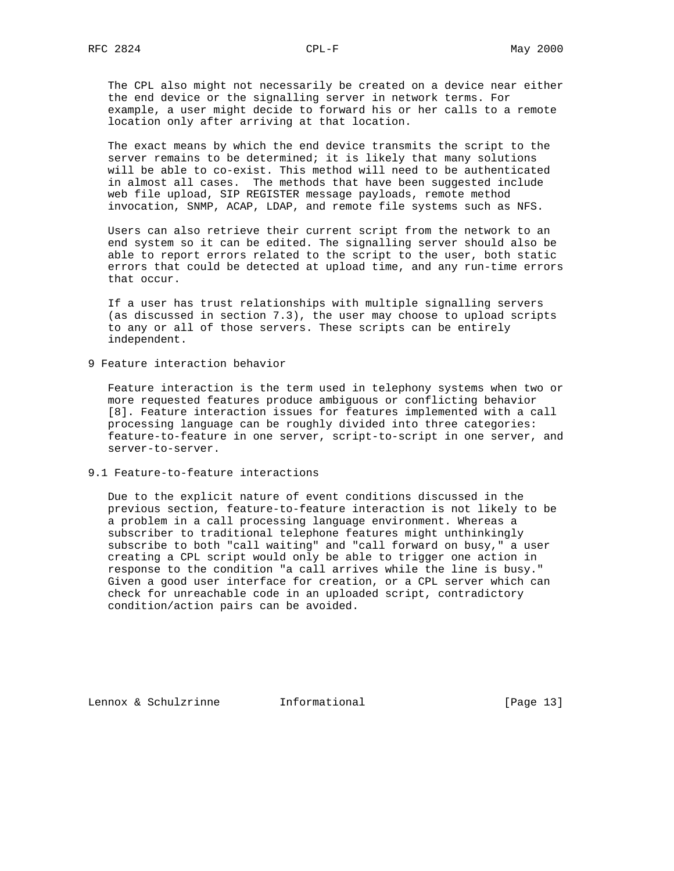The CPL also might not necessarily be created on a device near either the end device or the signalling server in network terms. For example, a user might decide to forward his or her calls to a remote location only after arriving at that location.

 The exact means by which the end device transmits the script to the server remains to be determined; it is likely that many solutions will be able to co-exist. This method will need to be authenticated in almost all cases. The methods that have been suggested include web file upload, SIP REGISTER message payloads, remote method invocation, SNMP, ACAP, LDAP, and remote file systems such as NFS.

 Users can also retrieve their current script from the network to an end system so it can be edited. The signalling server should also be able to report errors related to the script to the user, both static errors that could be detected at upload time, and any run-time errors that occur.

 If a user has trust relationships with multiple signalling servers (as discussed in section 7.3), the user may choose to upload scripts to any or all of those servers. These scripts can be entirely independent.

9 Feature interaction behavior

 Feature interaction is the term used in telephony systems when two or more requested features produce ambiguous or conflicting behavior [8]. Feature interaction issues for features implemented with a call processing language can be roughly divided into three categories: feature-to-feature in one server, script-to-script in one server, and server-to-server.

9.1 Feature-to-feature interactions

 Due to the explicit nature of event conditions discussed in the previous section, feature-to-feature interaction is not likely to be a problem in a call processing language environment. Whereas a subscriber to traditional telephone features might unthinkingly subscribe to both "call waiting" and "call forward on busy," a user creating a CPL script would only be able to trigger one action in response to the condition "a call arrives while the line is busy." Given a good user interface for creation, or a CPL server which can check for unreachable code in an uploaded script, contradictory condition/action pairs can be avoided.

Lennox & Schulzrinne 1nformational [Page 13]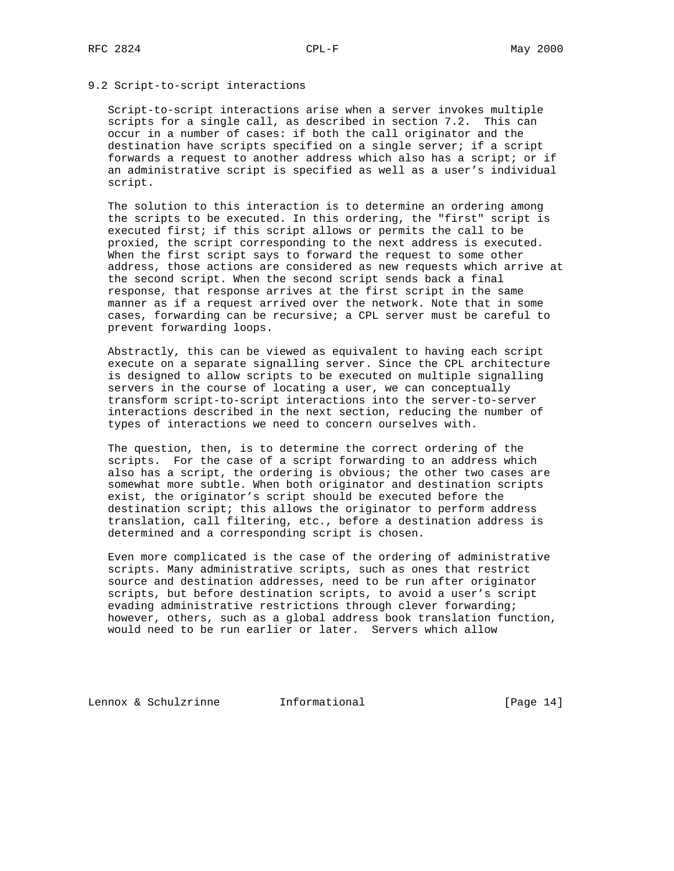## 9.2 Script-to-script interactions

 Script-to-script interactions arise when a server invokes multiple scripts for a single call, as described in section 7.2. This can occur in a number of cases: if both the call originator and the destination have scripts specified on a single server; if a script forwards a request to another address which also has a script; or if an administrative script is specified as well as a user's individual script.

 The solution to this interaction is to determine an ordering among the scripts to be executed. In this ordering, the "first" script is executed first; if this script allows or permits the call to be proxied, the script corresponding to the next address is executed. When the first script says to forward the request to some other address, those actions are considered as new requests which arrive at the second script. When the second script sends back a final response, that response arrives at the first script in the same manner as if a request arrived over the network. Note that in some cases, forwarding can be recursive; a CPL server must be careful to prevent forwarding loops.

 Abstractly, this can be viewed as equivalent to having each script execute on a separate signalling server. Since the CPL architecture is designed to allow scripts to be executed on multiple signalling servers in the course of locating a user, we can conceptually transform script-to-script interactions into the server-to-server interactions described in the next section, reducing the number of types of interactions we need to concern ourselves with.

 The question, then, is to determine the correct ordering of the scripts. For the case of a script forwarding to an address which also has a script, the ordering is obvious; the other two cases are somewhat more subtle. When both originator and destination scripts exist, the originator's script should be executed before the destination script; this allows the originator to perform address translation, call filtering, etc., before a destination address is determined and a corresponding script is chosen.

 Even more complicated is the case of the ordering of administrative scripts. Many administrative scripts, such as ones that restrict source and destination addresses, need to be run after originator scripts, but before destination scripts, to avoid a user's script evading administrative restrictions through clever forwarding; however, others, such as a global address book translation function, would need to be run earlier or later. Servers which allow

Lennox & Schulzrinne 1nformational [Page 14]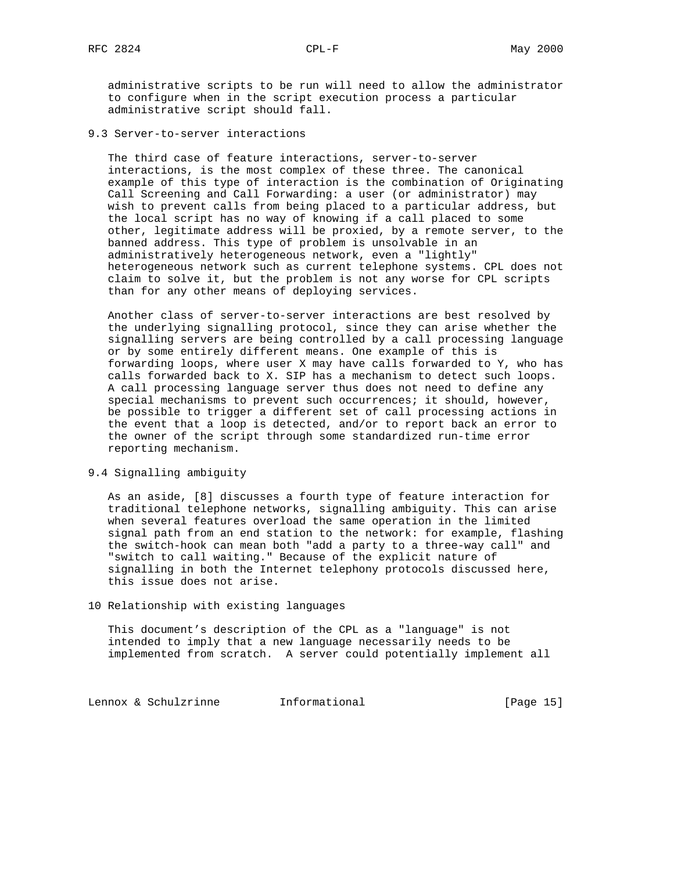administrative scripts to be run will need to allow the administrator to configure when in the script execution process a particular administrative script should fall.

9.3 Server-to-server interactions

 The third case of feature interactions, server-to-server interactions, is the most complex of these three. The canonical example of this type of interaction is the combination of Originating Call Screening and Call Forwarding: a user (or administrator) may wish to prevent calls from being placed to a particular address, but the local script has no way of knowing if a call placed to some other, legitimate address will be proxied, by a remote server, to the banned address. This type of problem is unsolvable in an administratively heterogeneous network, even a "lightly" heterogeneous network such as current telephone systems. CPL does not claim to solve it, but the problem is not any worse for CPL scripts than for any other means of deploying services.

 Another class of server-to-server interactions are best resolved by the underlying signalling protocol, since they can arise whether the signalling servers are being controlled by a call processing language or by some entirely different means. One example of this is forwarding loops, where user X may have calls forwarded to Y, who has calls forwarded back to X. SIP has a mechanism to detect such loops. A call processing language server thus does not need to define any special mechanisms to prevent such occurrences; it should, however, be possible to trigger a different set of call processing actions in the event that a loop is detected, and/or to report back an error to the owner of the script through some standardized run-time error reporting mechanism.

9.4 Signalling ambiguity

 As an aside, [8] discusses a fourth type of feature interaction for traditional telephone networks, signalling ambiguity. This can arise when several features overload the same operation in the limited signal path from an end station to the network: for example, flashing the switch-hook can mean both "add a party to a three-way call" and "switch to call waiting." Because of the explicit nature of signalling in both the Internet telephony protocols discussed here, this issue does not arise.

10 Relationship with existing languages

 This document's description of the CPL as a "language" is not intended to imply that a new language necessarily needs to be implemented from scratch. A server could potentially implement all

Lennox & Schulzrinne 1nformational [Page 15]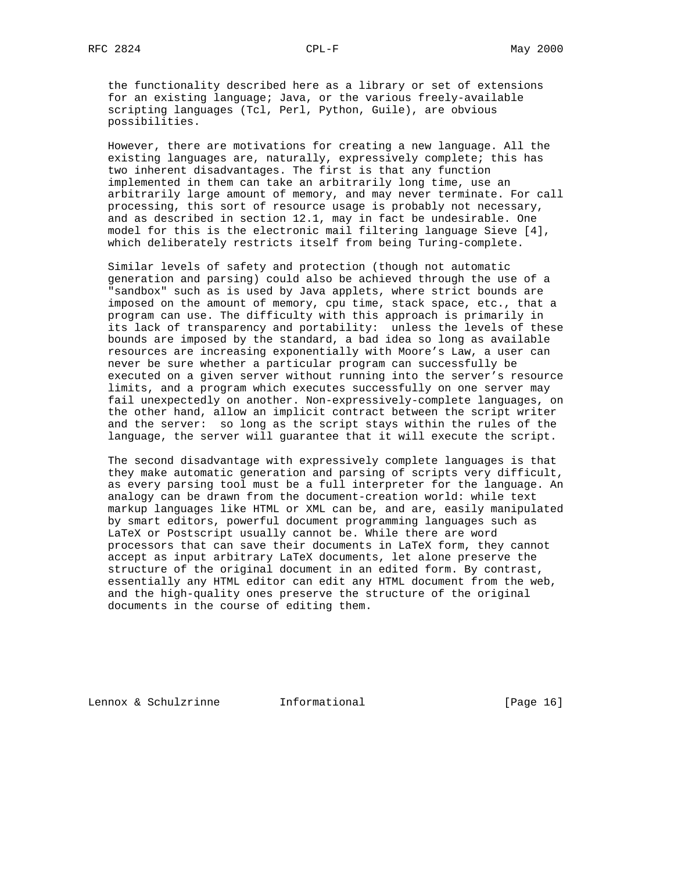the functionality described here as a library or set of extensions for an existing language; Java, or the various freely-available scripting languages (Tcl, Perl, Python, Guile), are obvious possibilities.

 However, there are motivations for creating a new language. All the existing languages are, naturally, expressively complete; this has two inherent disadvantages. The first is that any function implemented in them can take an arbitrarily long time, use an arbitrarily large amount of memory, and may never terminate. For call processing, this sort of resource usage is probably not necessary, and as described in section 12.1, may in fact be undesirable. One model for this is the electronic mail filtering language Sieve [4], which deliberately restricts itself from being Turing-complete.

 Similar levels of safety and protection (though not automatic generation and parsing) could also be achieved through the use of a "sandbox" such as is used by Java applets, where strict bounds are imposed on the amount of memory, cpu time, stack space, etc., that a program can use. The difficulty with this approach is primarily in its lack of transparency and portability: unless the levels of these bounds are imposed by the standard, a bad idea so long as available resources are increasing exponentially with Moore's Law, a user can never be sure whether a particular program can successfully be executed on a given server without running into the server's resource limits, and a program which executes successfully on one server may fail unexpectedly on another. Non-expressively-complete languages, on the other hand, allow an implicit contract between the script writer and the server: so long as the script stays within the rules of the language, the server will guarantee that it will execute the script.

 The second disadvantage with expressively complete languages is that they make automatic generation and parsing of scripts very difficult, as every parsing tool must be a full interpreter for the language. An analogy can be drawn from the document-creation world: while text markup languages like HTML or XML can be, and are, easily manipulated by smart editors, powerful document programming languages such as LaTeX or Postscript usually cannot be. While there are word processors that can save their documents in LaTeX form, they cannot accept as input arbitrary LaTeX documents, let alone preserve the structure of the original document in an edited form. By contrast, essentially any HTML editor can edit any HTML document from the web, and the high-quality ones preserve the structure of the original documents in the course of editing them.

Lennox & Schulzrinne 1nformational [Page 16]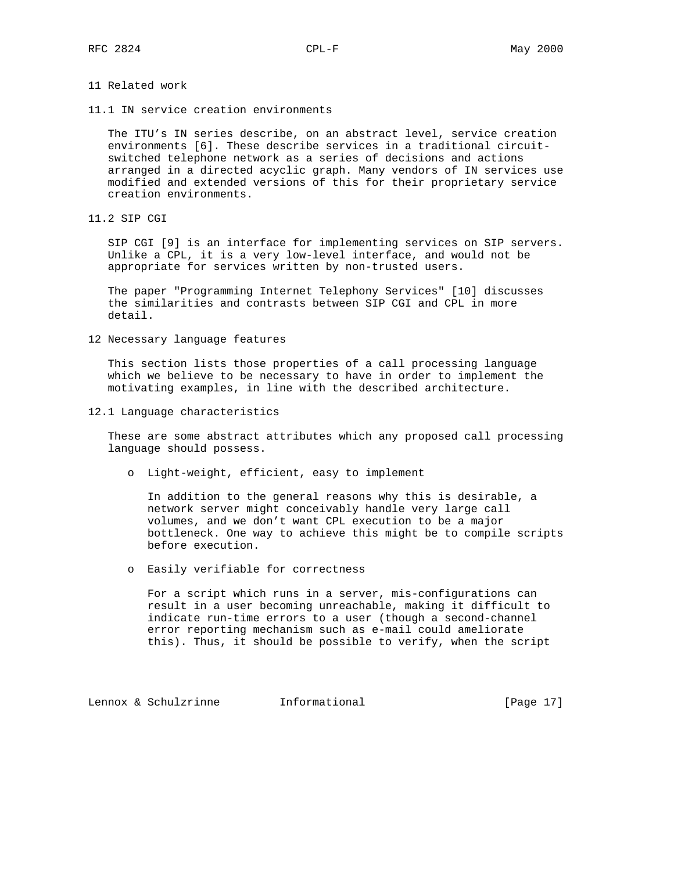## 11 Related work

11.1 IN service creation environments

 The ITU's IN series describe, on an abstract level, service creation environments [6]. These describe services in a traditional circuit switched telephone network as a series of decisions and actions arranged in a directed acyclic graph. Many vendors of IN services use modified and extended versions of this for their proprietary service creation environments.

11.2 SIP CGI

 SIP CGI [9] is an interface for implementing services on SIP servers. Unlike a CPL, it is a very low-level interface, and would not be appropriate for services written by non-trusted users.

 The paper "Programming Internet Telephony Services" [10] discusses the similarities and contrasts between SIP CGI and CPL in more detail.

12 Necessary language features

 This section lists those properties of a call processing language which we believe to be necessary to have in order to implement the motivating examples, in line with the described architecture.

12.1 Language characteristics

 These are some abstract attributes which any proposed call processing language should possess.

o Light-weight, efficient, easy to implement

 In addition to the general reasons why this is desirable, a network server might conceivably handle very large call volumes, and we don't want CPL execution to be a major bottleneck. One way to achieve this might be to compile scripts before execution.

o Easily verifiable for correctness

 For a script which runs in a server, mis-configurations can result in a user becoming unreachable, making it difficult to indicate run-time errors to a user (though a second-channel error reporting mechanism such as e-mail could ameliorate this). Thus, it should be possible to verify, when the script

Lennox & Schulzrinne 1nformational [Page 17]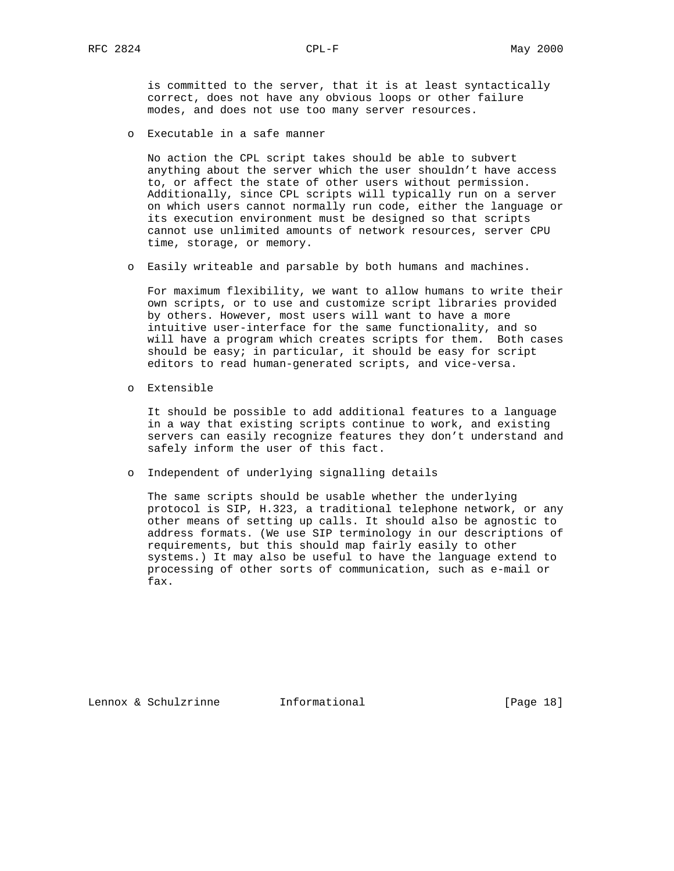is committed to the server, that it is at least syntactically correct, does not have any obvious loops or other failure modes, and does not use too many server resources.

o Executable in a safe manner

 No action the CPL script takes should be able to subvert anything about the server which the user shouldn't have access to, or affect the state of other users without permission. Additionally, since CPL scripts will typically run on a server on which users cannot normally run code, either the language or its execution environment must be designed so that scripts cannot use unlimited amounts of network resources, server CPU time, storage, or memory.

o Easily writeable and parsable by both humans and machines.

 For maximum flexibility, we want to allow humans to write their own scripts, or to use and customize script libraries provided by others. However, most users will want to have a more intuitive user-interface for the same functionality, and so will have a program which creates scripts for them. Both cases should be easy; in particular, it should be easy for script editors to read human-generated scripts, and vice-versa.

o Extensible

 It should be possible to add additional features to a language in a way that existing scripts continue to work, and existing servers can easily recognize features they don't understand and safely inform the user of this fact.

o Independent of underlying signalling details

 The same scripts should be usable whether the underlying protocol is SIP, H.323, a traditional telephone network, or any other means of setting up calls. It should also be agnostic to address formats. (We use SIP terminology in our descriptions of requirements, but this should map fairly easily to other systems.) It may also be useful to have the language extend to processing of other sorts of communication, such as e-mail or fax.

Lennox & Schulzrinne 1nformational [Page 18]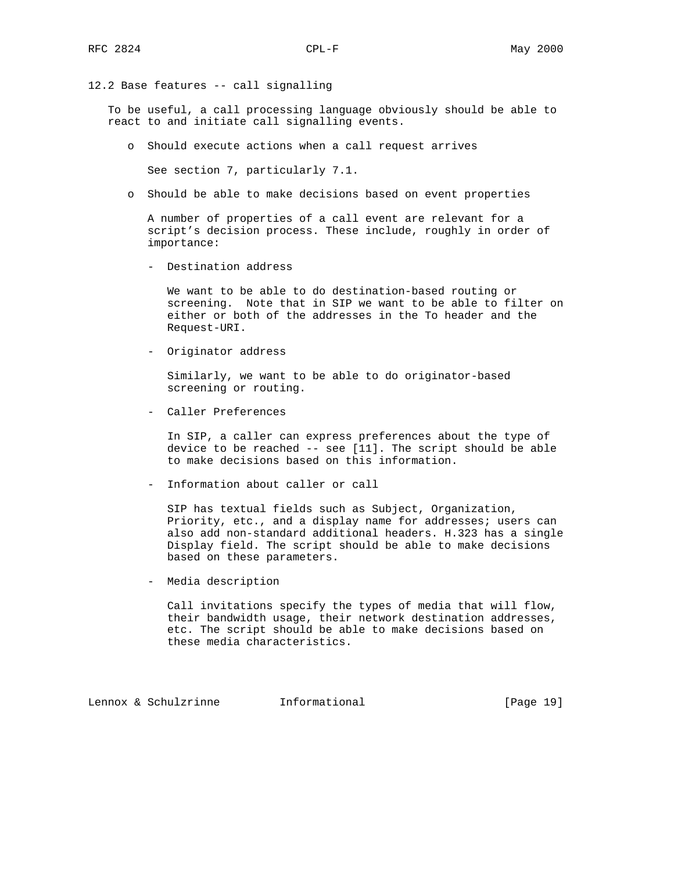# 12.2 Base features -- call signalling

 To be useful, a call processing language obviously should be able to react to and initiate call signalling events.

o Should execute actions when a call request arrives

See section 7, particularly 7.1.

o Should be able to make decisions based on event properties

 A number of properties of a call event are relevant for a script's decision process. These include, roughly in order of importance:

- Destination address

 We want to be able to do destination-based routing or screening. Note that in SIP we want to be able to filter on either or both of the addresses in the To header and the Request-URI.

- Originator address

 Similarly, we want to be able to do originator-based screening or routing.

- Caller Preferences

 In SIP, a caller can express preferences about the type of device to be reached -- see [11]. The script should be able to make decisions based on this information.

- Information about caller or call

 SIP has textual fields such as Subject, Organization, Priority, etc., and a display name for addresses; users can also add non-standard additional headers. H.323 has a single Display field. The script should be able to make decisions based on these parameters.

- Media description

 Call invitations specify the types of media that will flow, their bandwidth usage, their network destination addresses, etc. The script should be able to make decisions based on these media characteristics.

Lennox & Schulzrinne 1nformational [Page 19]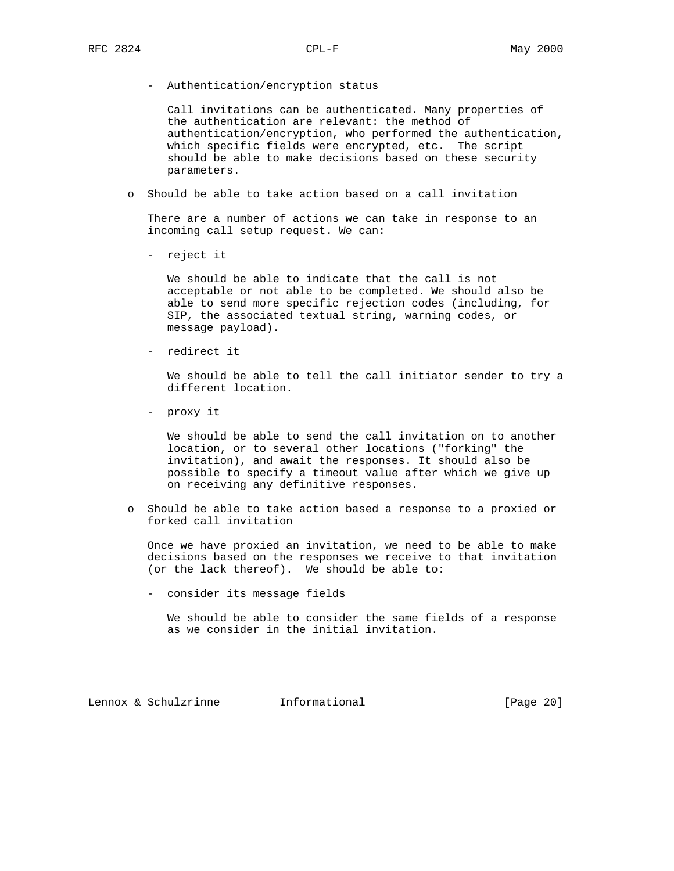- Authentication/encryption status

 Call invitations can be authenticated. Many properties of the authentication are relevant: the method of authentication/encryption, who performed the authentication, which specific fields were encrypted, etc. The script should be able to make decisions based on these security parameters.

o Should be able to take action based on a call invitation

 There are a number of actions we can take in response to an incoming call setup request. We can:

- reject it

 We should be able to indicate that the call is not acceptable or not able to be completed. We should also be able to send more specific rejection codes (including, for SIP, the associated textual string, warning codes, or message payload).

- redirect it

 We should be able to tell the call initiator sender to try a different location.

- proxy it

 We should be able to send the call invitation on to another location, or to several other locations ("forking" the invitation), and await the responses. It should also be possible to specify a timeout value after which we give up on receiving any definitive responses.

 o Should be able to take action based a response to a proxied or forked call invitation

 Once we have proxied an invitation, we need to be able to make decisions based on the responses we receive to that invitation (or the lack thereof). We should be able to:

- consider its message fields

 We should be able to consider the same fields of a response as we consider in the initial invitation.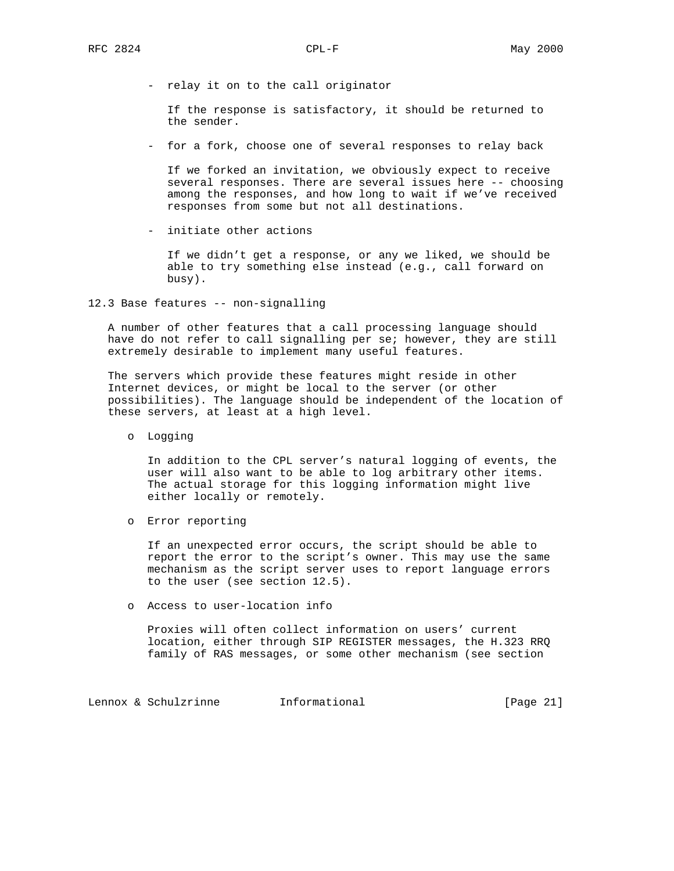- relay it on to the call originator

 If the response is satisfactory, it should be returned to the sender.

- for a fork, choose one of several responses to relay back

 If we forked an invitation, we obviously expect to receive several responses. There are several issues here -- choosing among the responses, and how long to wait if we've received responses from some but not all destinations.

- initiate other actions

 If we didn't get a response, or any we liked, we should be able to try something else instead (e.g., call forward on busy).

12.3 Base features -- non-signalling

 A number of other features that a call processing language should have do not refer to call signalling per se; however, they are still extremely desirable to implement many useful features.

 The servers which provide these features might reside in other Internet devices, or might be local to the server (or other possibilities). The language should be independent of the location of these servers, at least at a high level.

o Logging

 In addition to the CPL server's natural logging of events, the user will also want to be able to log arbitrary other items. The actual storage for this logging information might live either locally or remotely.

o Error reporting

 If an unexpected error occurs, the script should be able to report the error to the script's owner. This may use the same mechanism as the script server uses to report language errors to the user (see section 12.5).

o Access to user-location info

 Proxies will often collect information on users' current location, either through SIP REGISTER messages, the H.323 RRQ family of RAS messages, or some other mechanism (see section

Lennox & Schulzrinne 1nformational [Page 21]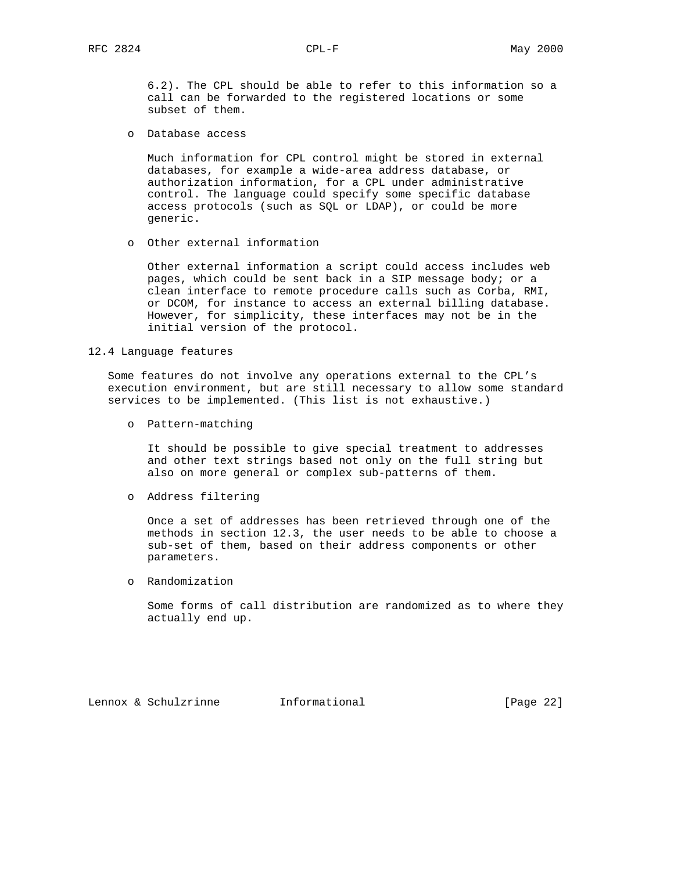6.2). The CPL should be able to refer to this information so a call can be forwarded to the registered locations or some subset of them.

o Database access

 Much information for CPL control might be stored in external databases, for example a wide-area address database, or authorization information, for a CPL under administrative control. The language could specify some specific database access protocols (such as SQL or LDAP), or could be more generic.

o Other external information

 Other external information a script could access includes web pages, which could be sent back in a SIP message body; or a clean interface to remote procedure calls such as Corba, RMI, or DCOM, for instance to access an external billing database. However, for simplicity, these interfaces may not be in the initial version of the protocol.

12.4 Language features

 Some features do not involve any operations external to the CPL's execution environment, but are still necessary to allow some standard services to be implemented. (This list is not exhaustive.)

o Pattern-matching

 It should be possible to give special treatment to addresses and other text strings based not only on the full string but also on more general or complex sub-patterns of them.

o Address filtering

 Once a set of addresses has been retrieved through one of the methods in section 12.3, the user needs to be able to choose a sub-set of them, based on their address components or other parameters.

o Randomization

 Some forms of call distribution are randomized as to where they actually end up.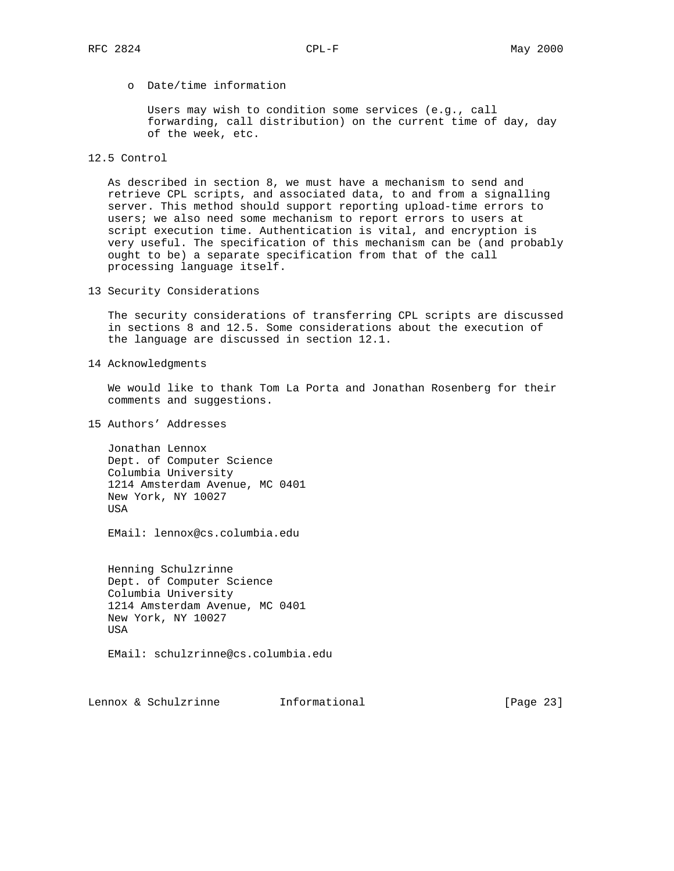o Date/time information

 Users may wish to condition some services (e.g., call forwarding, call distribution) on the current time of day, day of the week, etc.

12.5 Control

 As described in section 8, we must have a mechanism to send and retrieve CPL scripts, and associated data, to and from a signalling server. This method should support reporting upload-time errors to users; we also need some mechanism to report errors to users at script execution time. Authentication is vital, and encryption is very useful. The specification of this mechanism can be (and probably ought to be) a separate specification from that of the call processing language itself.

13 Security Considerations

 The security considerations of transferring CPL scripts are discussed in sections 8 and 12.5. Some considerations about the execution of the language are discussed in section 12.1.

14 Acknowledgments

 We would like to thank Tom La Porta and Jonathan Rosenberg for their comments and suggestions.

15 Authors' Addresses

 Jonathan Lennox Dept. of Computer Science Columbia University 1214 Amsterdam Avenue, MC 0401 New York, NY 10027 USA

EMail: lennox@cs.columbia.edu

 Henning Schulzrinne Dept. of Computer Science Columbia University 1214 Amsterdam Avenue, MC 0401 New York, NY 10027 USA

EMail: schulzrinne@cs.columbia.edu

Lennox & Schulzrinne 1nformational [Page 23]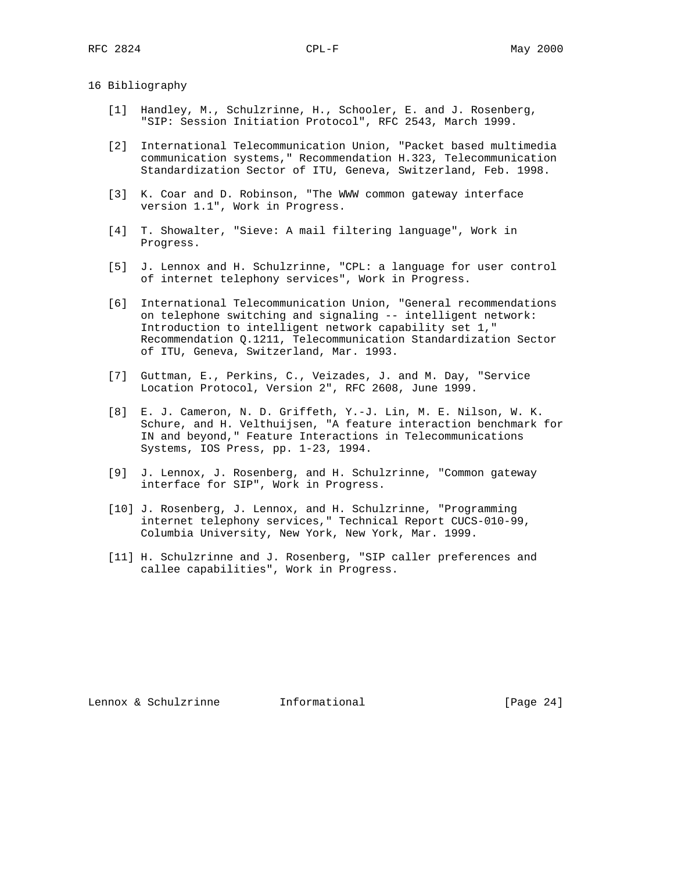16 Bibliography

- [1] Handley, M., Schulzrinne, H., Schooler, E. and J. Rosenberg, "SIP: Session Initiation Protocol", RFC 2543, March 1999.
- [2] International Telecommunication Union, "Packet based multimedia communication systems," Recommendation H.323, Telecommunication Standardization Sector of ITU, Geneva, Switzerland, Feb. 1998.
- [3] K. Coar and D. Robinson, "The WWW common gateway interface version 1.1", Work in Progress.
- [4] T. Showalter, "Sieve: A mail filtering language", Work in Progress.
- [5] J. Lennox and H. Schulzrinne, "CPL: a language for user control of internet telephony services", Work in Progress.
- [6] International Telecommunication Union, "General recommendations on telephone switching and signaling -- intelligent network: Introduction to intelligent network capability set 1," Recommendation Q.1211, Telecommunication Standardization Sector of ITU, Geneva, Switzerland, Mar. 1993.
- [7] Guttman, E., Perkins, C., Veizades, J. and M. Day, "Service Location Protocol, Version 2", RFC 2608, June 1999.
- [8] E. J. Cameron, N. D. Griffeth, Y.-J. Lin, M. E. Nilson, W. K. Schure, and H. Velthuijsen, "A feature interaction benchmark for IN and beyond," Feature Interactions in Telecommunications Systems, IOS Press, pp. 1-23, 1994.
- [9] J. Lennox, J. Rosenberg, and H. Schulzrinne, "Common gateway interface for SIP", Work in Progress.
- [10] J. Rosenberg, J. Lennox, and H. Schulzrinne, "Programming internet telephony services," Technical Report CUCS-010-99, Columbia University, New York, New York, Mar. 1999.
- [11] H. Schulzrinne and J. Rosenberg, "SIP caller preferences and callee capabilities", Work in Progress.